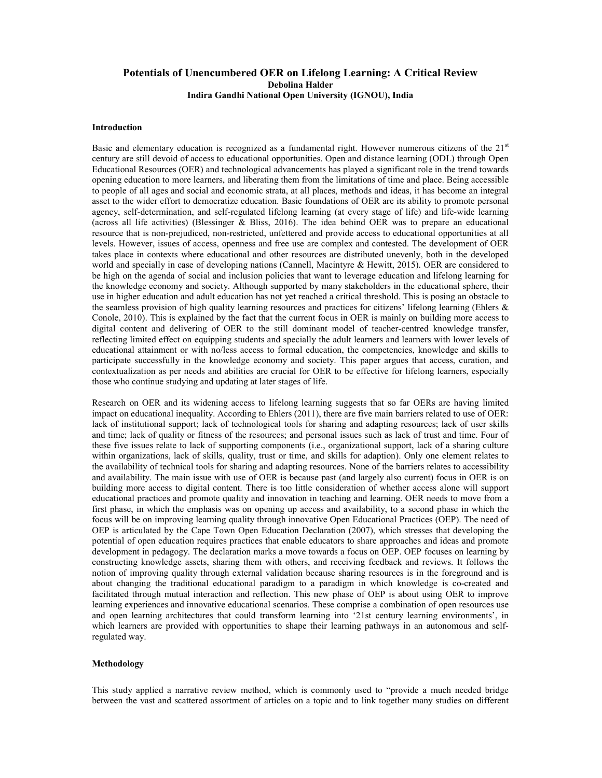# Potentials of Unencumbered OER on Lifelong Learning: A Critical Review Debolina Halder Indira Gandhi National Open University (IGNOU), India

#### Introduction

Basic and elementary education is recognized as a fundamental right. However numerous citizens of the  $21<sup>st</sup>$ century are still devoid of access to educational opportunities. Open and distance learning (ODL) through Open Educational Resources (OER) and technological advancements has played a significant role in the trend towards opening education to more learners, and liberating them from the limitations of time and place. Being accessible to people of all ages and social and economic strata, at all places, methods and ideas, it has become an integral asset to the wider effort to democratize education. Basic foundations of OER are its ability to promote personal agency, self-determination, and self-regulated lifelong learning (at every stage of life) and life-wide learning (across all life activities) (Blessinger & Bliss, 2016). The idea behind OER was to prepare an educational resource that is non-prejudiced, non-restricted, unfettered and provide access to educational opportunities at all levels. However, issues of access, openness and free use are complex and contested. The development of OER takes place in contexts where educational and other resources are distributed unevenly, both in the developed world and specially in case of developing nations (Cannell, Macintyre & Hewitt, 2015). OER are considered to be high on the agenda of social and inclusion policies that want to leverage education and lifelong learning for the knowledge economy and society. Although supported by many stakeholders in the educational sphere, their use in higher education and adult education has not yet reached a critical threshold. This is posing an obstacle to the seamless provision of high quality learning resources and practices for citizens' lifelong learning (Ehlers & Conole, 2010). This is explained by the fact that the current focus in OER is mainly on building more access to digital content and delivering of OER to the still dominant model of teacher-centred knowledge transfer, reflecting limited effect on equipping students and specially the adult learners and learners with lower levels of educational attainment or with no/less access to formal education, the competencies, knowledge and skills to participate successfully in the knowledge economy and society. This paper argues that access, curation, and contextualization as per needs and abilities are crucial for OER to be effective for lifelong learners, especially those who continue studying and updating at later stages of life.

Research on OER and its widening access to lifelong learning suggests that so far OERs are having limited impact on educational inequality. According to Ehlers (2011), there are five main barriers related to use of OER: lack of institutional support; lack of technological tools for sharing and adapting resources; lack of user skills and time; lack of quality or fitness of the resources; and personal issues such as lack of trust and time. Four of these five issues relate to lack of supporting components (i.e., organizational support, lack of a sharing culture within organizations, lack of skills, quality, trust or time, and skills for adaption). Only one element relates to the availability of technical tools for sharing and adapting resources. None of the barriers relates to accessibility and availability. The main issue with use of OER is because past (and largely also current) focus in OER is on building more access to digital content. There is too little consideration of whether access alone will support educational practices and promote quality and innovation in teaching and learning. OER needs to move from a first phase, in which the emphasis was on opening up access and availability, to a second phase in which the focus will be on improving learning quality through innovative Open Educational Practices (OEP). The need of OEP is articulated by the Cape Town Open Education Declaration (2007), which stresses that developing the potential of open education requires practices that enable educators to share approaches and ideas and promote development in pedagogy. The declaration marks a move towards a focus on OEP. OEP focuses on learning by constructing knowledge assets, sharing them with others, and receiving feedback and reviews. It follows the notion of improving quality through external validation because sharing resources is in the foreground and is about changing the traditional educational paradigm to a paradigm in which knowledge is co-created and facilitated through mutual interaction and reflection. This new phase of OEP is about using OER to improve learning experiences and innovative educational scenarios. These comprise a combination of open resources use and open learning architectures that could transform learning into '21st century learning environments', in which learners are provided with opportunities to shape their learning pathways in an autonomous and selfregulated way.

### Methodology

This study applied a narrative review method, which is commonly used to "provide a much needed bridge between the vast and scattered assortment of articles on a topic and to link together many studies on different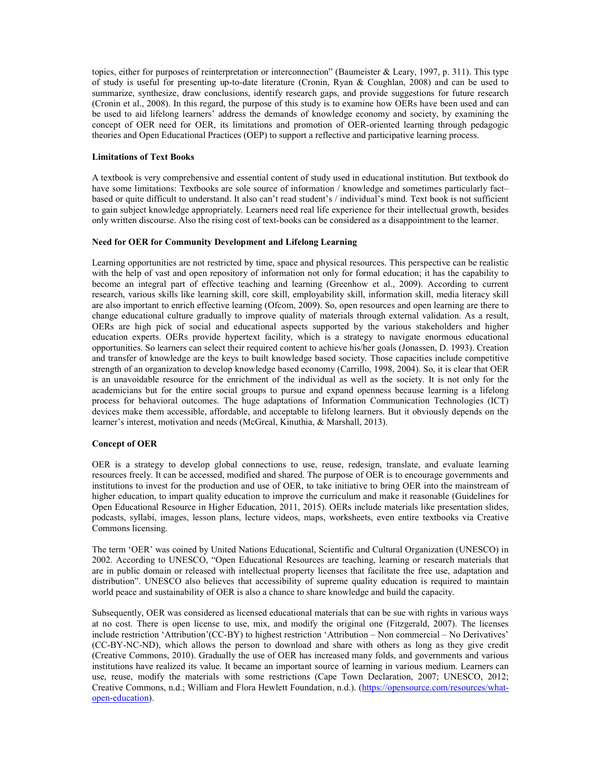topics, either for purposes of reinterpretation or interconnection" (Baumeister & Leary, 1997, p. 311). This type of study is useful for presenting up-to-date literature (Cronin, Ryan & Coughlan, 2008) and can be used to summarize, synthesize, draw conclusions, identify research gaps, and provide suggestions for future research (Cronin et al., 2008). In this regard, the purpose of this study is to examine how OERs have been used and can be used to aid lifelong learners' address the demands of knowledge economy and society, by examining the concept of OER need for OER, its limitations and promotion of OER-oriented learning through pedagogic theories and Open Educational Practices (OEP) to support a reflective and participative learning process.

## Limitations of Text Books

A textbook is very comprehensive and essential content of study used in educational institution. But textbook do have some limitations: Textbooks are sole source of information / knowledge and sometimes particularly fact– based or quite difficult to understand. It also can't read student's / individual's mind. Text book is not sufficient to gain subject knowledge appropriately. Learners need real life experience for their intellectual growth, besides only written discourse. Also the rising cost of text-books can be considered as a disappointment to the learner.

### Need for OER for Community Development and Lifelong Learning

Learning opportunities are not restricted by time, space and physical resources. This perspective can be realistic with the help of vast and open repository of information not only for formal education; it has the capability to become an integral part of effective teaching and learning (Greenhow et al., 2009). According to current research, various skills like learning skill, core skill, employability skill, information skill, media literacy skill are also important to enrich effective learning (Ofcom, 2009). So, open resources and open learning are there to change educational culture gradually to improve quality of materials through external validation. As a result, OERs are high pick of social and educational aspects supported by the various stakeholders and higher education experts. OERs provide hypertext facility, which is a strategy to navigate enormous educational opportunities. So learners can select their required content to achieve his/her goals (Jonassen, D. 1993). Creation and transfer of knowledge are the keys to built knowledge based society. Those capacities include competitive strength of an organization to develop knowledge based economy (Carrillo, 1998, 2004). So, it is clear that OER is an unavoidable resource for the enrichment of the individual as well as the society. It is not only for the academicians but for the entire social groups to pursue and expand openness because learning is a lifelong process for behavioral outcomes. The huge adaptations of Information Communication Technologies (ICT) devices make them accessible, affordable, and acceptable to lifelong learners. But it obviously depends on the learner's interest, motivation and needs (McGreal, Kinuthia, & Marshall, 2013).

# Concept of OER

OER is a strategy to develop global connections to use, reuse, redesign, translate, and evaluate learning resources freely. It can be accessed, modified and shared. The purpose of OER is to encourage governments and institutions to invest for the production and use of OER, to take initiative to bring OER into the mainstream of higher education, to impart quality education to improve the curriculum and make it reasonable (Guidelines for Open Educational Resource in Higher Education, 2011, 2015). OERs include materials like presentation slides, podcasts, syllabi, images, lesson plans, lecture videos, maps, worksheets, even entire textbooks via Creative Commons licensing.

The term 'OER' was coined by United Nations Educational, Scientific and Cultural Organization (UNESCO) in 2002. According to UNESCO, "Open Educational Resources are teaching, learning or research materials that are in public domain or released with intellectual property licenses that facilitate the free use, adaptation and distribution". UNESCO also believes that accessibility of supreme quality education is required to maintain world peace and sustainability of OER is also a chance to share knowledge and build the capacity.

Subsequently, OER was considered as licensed educational materials that can be sue with rights in various ways at no cost. There is open license to use, mix, and modify the original one (Fitzgerald, 2007). The licenses include restriction 'Attribution'(CC-BY) to highest restriction 'Attribution – Non commercial – No Derivatives' (CC-BY-NC-ND), which allows the person to download and share with others as long as they give credit (Creative Commons, 2010). Gradually the use of OER has increased many folds, and governments and various institutions have realized its value. It became an important source of learning in various medium. Learners can use, reuse, modify the materials with some restrictions (Cape Town Declaration, 2007; UNESCO, 2012; Creative Commons, n.d.; William and Flora Hewlett Foundation, n.d.). (https://opensource.com/resources/whatopen-education).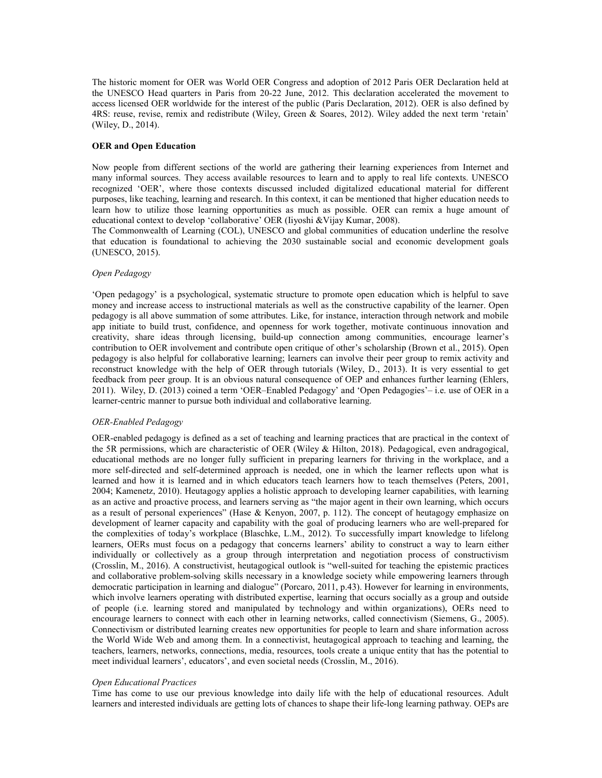The historic moment for OER was World OER Congress and adoption of 2012 Paris OER Declaration held at the UNESCO Head quarters in Paris from 20-22 June, 2012. This declaration accelerated the movement to access licensed OER worldwide for the interest of the public (Paris Declaration, 2012). OER is also defined by 4RS: reuse, revise, remix and redistribute (Wiley, Green & Soares, 2012). Wiley added the next term 'retain' (Wiley, D., 2014).

### OER and Open Education

Now people from different sections of the world are gathering their learning experiences from Internet and many informal sources. They access available resources to learn and to apply to real life contexts. UNESCO recognized 'OER', where those contexts discussed included digitalized educational material for different purposes, like teaching, learning and research. In this context, it can be mentioned that higher education needs to learn how to utilize those learning opportunities as much as possible. OER can remix a huge amount of educational context to develop 'collaborative' OER (Iiyoshi &Vijay Kumar, 2008).

The Commonwealth of Learning (COL), UNESCO and global communities of education underline the resolve that education is foundational to achieving the 2030 sustainable social and economic development goals (UNESCO, 2015).

### Open Pedagogy

'Open pedagogy' is a psychological, systematic structure to promote open education which is helpful to save money and increase access to instructional materials as well as the constructive capability of the learner. Open pedagogy is all above summation of some attributes. Like, for instance, interaction through network and mobile app initiate to build trust, confidence, and openness for work together, motivate continuous innovation and creativity, share ideas through licensing, build-up connection among communities, encourage learner's contribution to OER involvement and contribute open critique of other's scholarship (Brown et al., 2015). Open pedagogy is also helpful for collaborative learning; learners can involve their peer group to remix activity and reconstruct knowledge with the help of OER through tutorials (Wiley, D., 2013). It is very essential to get feedback from peer group. It is an obvious natural consequence of OEP and enhances further learning (Ehlers, 2011). Wiley, D. (2013) coined a term 'OER–Enabled Pedagogy' and 'Open Pedagogies'– i.e. use of OER in a learner-centric manner to pursue both individual and collaborative learning.

#### OER-Enabled Pedagogy

OER-enabled pedagogy is defined as a set of teaching and learning practices that are practical in the context of the 5R permissions, which are characteristic of OER (Wiley & Hilton, 2018). Pedagogical, even andragogical, educational methods are no longer fully sufficient in preparing learners for thriving in the workplace, and a more self-directed and self-determined approach is needed, one in which the learner reflects upon what is learned and how it is learned and in which educators teach learners how to teach themselves (Peters, 2001, 2004; Kamenetz, 2010). Heutagogy applies a holistic approach to developing learner capabilities, with learning as an active and proactive process, and learners serving as "the major agent in their own learning, which occurs as a result of personal experiences" (Hase & Kenyon, 2007, p. 112). The concept of heutagogy emphasize on development of learner capacity and capability with the goal of producing learners who are well-prepared for the complexities of today's workplace (Blaschke, L.M., 2012). To successfully impart knowledge to lifelong learners, OERs must focus on a pedagogy that concerns learners' ability to construct a way to learn either individually or collectively as a group through interpretation and negotiation process of constructivism (Crosslin, M., 2016). A constructivist, heutagogical outlook is "well-suited for teaching the epistemic practices and collaborative problem-solving skills necessary in a knowledge society while empowering learners through democratic participation in learning and dialogue" (Porcaro, 2011, p.43). However for learning in environments, which involve learners operating with distributed expertise, learning that occurs socially as a group and outside of people (i.e. learning stored and manipulated by technology and within organizations), OERs need to encourage learners to connect with each other in learning networks, called connectivism (Siemens, G., 2005). Connectivism or distributed learning creates new opportunities for people to learn and share information across the World Wide Web and among them. In a connectivist, heutagogical approach to teaching and learning, the teachers, learners, networks, connections, media, resources, tools create a unique entity that has the potential to meet individual learners', educators', and even societal needs (Crosslin, M., 2016).

#### Open Educational Practices

Time has come to use our previous knowledge into daily life with the help of educational resources. Adult learners and interested individuals are getting lots of chances to shape their life-long learning pathway. OEPs are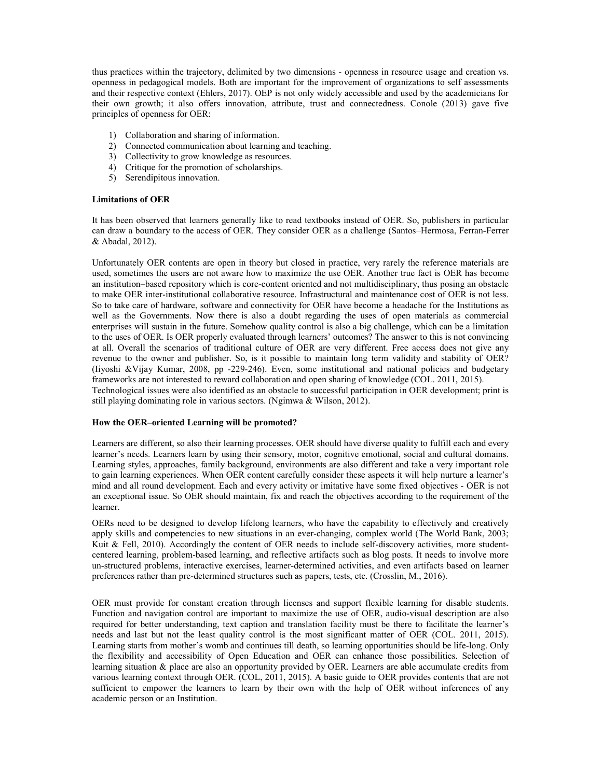thus practices within the trajectory, delimited by two dimensions - openness in resource usage and creation vs. openness in pedagogical models. Both are important for the improvement of organizations to self assessments and their respective context (Ehlers, 2017). OEP is not only widely accessible and used by the academicians for their own growth; it also offers innovation, attribute, trust and connectedness. Conole (2013) gave five principles of openness for OER:

- 1) Collaboration and sharing of information.
- 2) Connected communication about learning and teaching.
- 3) Collectivity to grow knowledge as resources.
- 4) Critique for the promotion of scholarships.
- 5) Serendipitous innovation.

### Limitations of OER

It has been observed that learners generally like to read textbooks instead of OER. So, publishers in particular can draw a boundary to the access of OER. They consider OER as a challenge (Santos–Hermosa, Ferran-Ferrer & Abadal, 2012).

Unfortunately OER contents are open in theory but closed in practice, very rarely the reference materials are used, sometimes the users are not aware how to maximize the use OER. Another true fact is OER has become an institution–based repository which is core-content oriented and not multidisciplinary, thus posing an obstacle to make OER inter-institutional collaborative resource. Infrastructural and maintenance cost of OER is not less. So to take care of hardware, software and connectivity for OER have become a headache for the Institutions as well as the Governments. Now there is also a doubt regarding the uses of open materials as commercial enterprises will sustain in the future. Somehow quality control is also a big challenge, which can be a limitation to the uses of OER. Is OER properly evaluated through learners' outcomes? The answer to this is not convincing at all. Overall the scenarios of traditional culture of OER are very different. Free access does not give any revenue to the owner and publisher. So, is it possible to maintain long term validity and stability of OER? (Iiyoshi &Vijay Kumar, 2008, pp -229-246). Even, some institutional and national policies and budgetary frameworks are not interested to reward collaboration and open sharing of knowledge (COL. 2011, 2015). Technological issues were also identified as an obstacle to successful participation in OER development; print is still playing dominating role in various sectors. (Ngimwa & Wilson, 2012).

#### How the OER–oriented Learning will be promoted?

Learners are different, so also their learning processes. OER should have diverse quality to fulfill each and every learner's needs. Learners learn by using their sensory, motor, cognitive emotional, social and cultural domains. Learning styles, approaches, family background, environments are also different and take a very important role to gain learning experiences. When OER content carefully consider these aspects it will help nurture a learner's mind and all round development. Each and every activity or imitative have some fixed objectives - OER is not an exceptional issue. So OER should maintain, fix and reach the objectives according to the requirement of the learner.

OERs need to be designed to develop lifelong learners, who have the capability to effectively and creatively apply skills and competencies to new situations in an ever-changing, complex world (The World Bank, 2003; Kuit & Fell, 2010). Accordingly the content of OER needs to include self-discovery activities, more studentcentered learning, problem-based learning, and reflective artifacts such as blog posts. It needs to involve more un-structured problems, interactive exercises, learner-determined activities, and even artifacts based on learner preferences rather than pre-determined structures such as papers, tests, etc. (Crosslin, M., 2016).

OER must provide for constant creation through licenses and support flexible learning for disable students. Function and navigation control are important to maximize the use of OER, audio-visual description are also required for better understanding, text caption and translation facility must be there to facilitate the learner's needs and last but not the least quality control is the most significant matter of OER (COL. 2011, 2015). Learning starts from mother's womb and continues till death, so learning opportunities should be life-long. Only the flexibility and accessibility of Open Education and OER can enhance those possibilities. Selection of learning situation & place are also an opportunity provided by OER. Learners are able accumulate credits from various learning context through OER. (COL, 2011, 2015). A basic guide to OER provides contents that are not sufficient to empower the learners to learn by their own with the help of OER without inferences of any academic person or an Institution.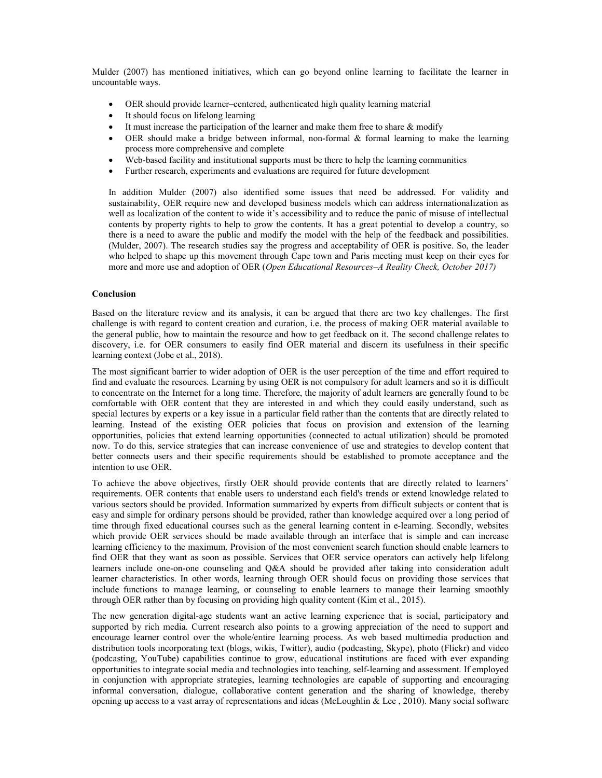Mulder (2007) has mentioned initiatives, which can go beyond online learning to facilitate the learner in uncountable ways.

- OER should provide learner–centered, authenticated high quality learning material
- It should focus on lifelong learning
- It must increase the participation of the learner and make them free to share & modify
- OER should make a bridge between informal, non-formal & formal learning to make the learning process more comprehensive and complete
- Web-based facility and institutional supports must be there to help the learning communities
- Further research, experiments and evaluations are required for future development

In addition Mulder (2007) also identified some issues that need be addressed. For validity and sustainability, OER require new and developed business models which can address internationalization as well as localization of the content to wide it's accessibility and to reduce the panic of misuse of intellectual contents by property rights to help to grow the contents. It has a great potential to develop a country, so there is a need to aware the public and modify the model with the help of the feedback and possibilities. (Mulder, 2007). The research studies say the progress and acceptability of OER is positive. So, the leader who helped to shape up this movement through Cape town and Paris meeting must keep on their eyes for more and more use and adoption of OER (Open Educational Resources–A Reality Check, October 2017)

#### Conclusion

Based on the literature review and its analysis, it can be argued that there are two key challenges. The first challenge is with regard to content creation and curation, i.e. the process of making OER material available to the general public, how to maintain the resource and how to get feedback on it. The second challenge relates to discovery, i.e. for OER consumers to easily find OER material and discern its usefulness in their specific learning context (Jobe et al., 2018).

The most significant barrier to wider adoption of OER is the user perception of the time and effort required to find and evaluate the resources. Learning by using OER is not compulsory for adult learners and so it is difficult to concentrate on the Internet for a long time. Therefore, the majority of adult learners are generally found to be comfortable with OER content that they are interested in and which they could easily understand, such as special lectures by experts or a key issue in a particular field rather than the contents that are directly related to learning. Instead of the existing OER policies that focus on provision and extension of the learning opportunities, policies that extend learning opportunities (connected to actual utilization) should be promoted now. To do this, service strategies that can increase convenience of use and strategies to develop content that better connects users and their specific requirements should be established to promote acceptance and the intention to use OER.

To achieve the above objectives, firstly OER should provide contents that are directly related to learners' requirements. OER contents that enable users to understand each field's trends or extend knowledge related to various sectors should be provided. Information summarized by experts from difficult subjects or content that is easy and simple for ordinary persons should be provided, rather than knowledge acquired over a long period of time through fixed educational courses such as the general learning content in e-learning. Secondly, websites which provide OER services should be made available through an interface that is simple and can increase learning efficiency to the maximum. Provision of the most convenient search function should enable learners to find OER that they want as soon as possible. Services that OER service operators can actively help lifelong learners include one-on-one counseling and Q&A should be provided after taking into consideration adult learner characteristics. In other words, learning through OER should focus on providing those services that include functions to manage learning, or counseling to enable learners to manage their learning smoothly through OER rather than by focusing on providing high quality content (Kim et al., 2015).

The new generation digital-age students want an active learning experience that is social, participatory and supported by rich media. Current research also points to a growing appreciation of the need to support and encourage learner control over the whole/entire learning process. As web based multimedia production and distribution tools incorporating text (blogs, wikis, Twitter), audio (podcasting, Skype), photo (Flickr) and video (podcasting, YouTube) capabilities continue to grow, educational institutions are faced with ever expanding opportunities to integrate social media and technologies into teaching, self-learning and assessment. If employed in conjunction with appropriate strategies, learning technologies are capable of supporting and encouraging informal conversation, dialogue, collaborative content generation and the sharing of knowledge, thereby opening up access to a vast array of representations and ideas (McLoughlin & Lee , 2010). Many social software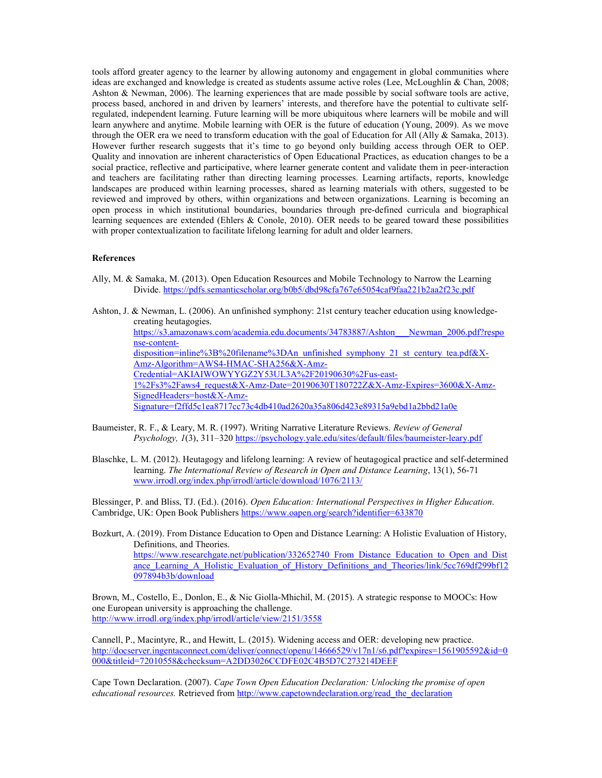tools afford greater agency to the learner by allowing autonomy and engagement in global communities where ideas are exchanged and knowledge is created as students assume active roles (Lee, McLoughlin & Chan, 2008; Ashton & Newman, 2006). The learning experiences that are made possible by social software tools are active, process based, anchored in and driven by learners' interests, and therefore have the potential to cultivate selfregulated, independent learning. Future learning will be more ubiquitous where learners will be mobile and will learn anywhere and anytime. Mobile learning with OER is the future of education (Young, 2009). As we move through the OER era we need to transform education with the goal of Education for All (Ally & Samaka, 2013). However further research suggests that it's time to go beyond only building access through OER to OEP. Quality and innovation are inherent characteristics of Open Educational Practices, as education changes to be a social practice, reflective and participative, where learner generate content and validate them in peer-interaction and teachers are facilitating rather than directing learning processes. Learning artifacts, reports, knowledge landscapes are produced within learning processes, shared as learning materials with others, suggested to be reviewed and improved by others, within organizations and between organizations. Learning is becoming an open process in which institutional boundaries, boundaries through pre-defined curricula and biographical learning sequences are extended (Ehlers & Conole, 2010). OER needs to be geared toward these possibilities with proper contextualization to facilitate lifelong learning for adult and older learners.

### References

- Ally, M. & Samaka, M. (2013). Open Education Resources and Mobile Technology to Narrow the Learning Divide. https://pdfs.semanticscholar.org/b0b5/dbd98cfa767e65054caf9faa221b2aa2f23c.pdf
- Ashton, J. & Newman, L. (2006). An unfinished symphony: 21st century teacher education using knowledgecreating heutagogies. https://s3.amazonaws.com/academia.edu.documents/34783887/Ashton\_\_\_Newman\_2006.pdf?respo nse-contentdisposition=inline%3B%20filename%3DAn\_unfinished\_symphony\_21\_st\_century\_tea.pdf&X-Amz-Algorithm=AWS4-HMAC-SHA256&X-Amz-Credential=AKIAIWOWYYGZ2Y53UL3A%2F20190630%2Fus-east-1%2Fs3%2Faws4\_request&X-Amz-Date=20190630T180722Z&X-Amz-Expires=3600&X-Amz-SignedHeaders=host&X-Amz-Signature=f2ffd5c1ea8717cc73c4db410ad2620a35a806d423e89315a9ebd1a2bbd21a0e
- Baumeister, R. F., & Leary, M. R. (1997). Writing Narrative Literature Reviews. Review of General Psychology, 1(3), 311–320 https://psychology.yale.edu/sites/default/files/baumeister-leary.pdf
- Blaschke, L. M. (2012). Heutagogy and lifelong learning: A review of heutagogical practice and self-determined learning. The International Review of Research in Open and Distance Learning, 13(1), 56-71 www.irrodl.org/index.php/irrodl/article/download/1076/2113/

Blessinger, P. and Bliss, TJ. (Ed.). (2016). Open Education: International Perspectives in Higher Education. Cambridge, UK: Open Book Publishers https://www.oapen.org/search?identifier=633870

Bozkurt, A. (2019). From Distance Education to Open and Distance Learning: A Holistic Evaluation of History, Definitions, and Theories. https://www.researchgate.net/publication/332652740 From Distance Education to Open and Dist ance Learning A Holistic Evaluation of History Definitions and Theories/link/5cc769df299bf12 097894b3b/download

Brown, M., Costello, E., Donlon, E., & Nic Giolla-Mhichil, M. (2015). A strategic response to MOOCs: How one European university is approaching the challenge. http://www.irrodl.org/index.php/irrodl/article/view/2151/3558

Cannell, P., Macintyre, R., and Hewitt, L. (2015). Widening access and OER: developing new practice. http://docserver.ingentaconnect.com/deliver/connect/openu/14666529/v17n1/s6.pdf?expires=1561905592&id=0 000&titleid=72010558&checksum=A2DD3026CCDFE02C4B5D7C273214DEEF

Cape Town Declaration. (2007). Cape Town Open Education Declaration: Unlocking the promise of open educational resources. Retrieved from http://www.capetowndeclaration.org/read\_the\_declaration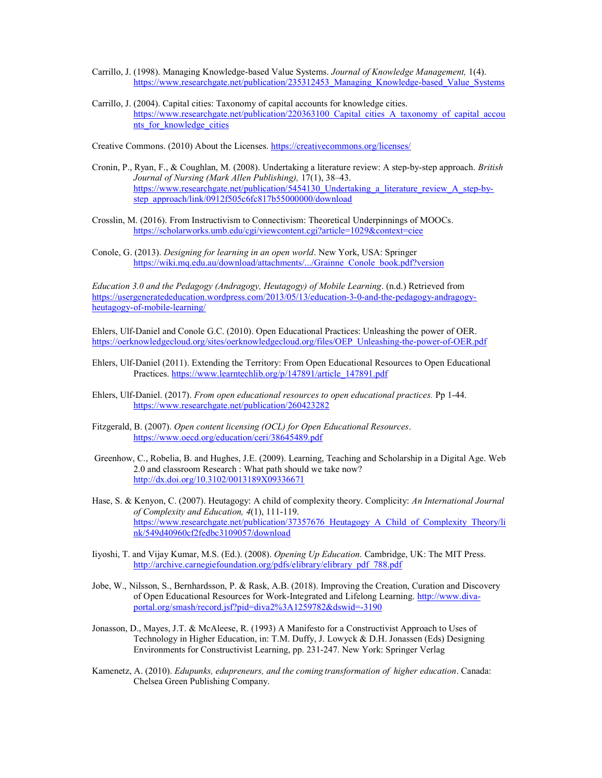- Carrillo, J. (1998). Managing Knowledge-based Value Systems. Journal of Knowledge Management, 1(4). https://www.researchgate.net/publication/235312453\_Managing\_Knowledge-based\_Value\_Systems
- Carrillo, J. (2004). Capital cities: Taxonomy of capital accounts for knowledge cities. https://www.researchgate.net/publication/220363100 Capital cities A taxonomy of capital accou nts for knowledge cities

Creative Commons. (2010) About the Licenses. https://creativecommons.org/licenses/

- Cronin, P., Ryan, F., & Coughlan, M. (2008). Undertaking a literature review: A step-by-step approach. British Journal of Nursing (Mark Allen Publishing), 17(1), 38–43. https://www.researchgate.net/publication/5454130\_Undertaking\_a\_literature\_review\_A\_step-bystep\_approach/link/0912f505c6fc817b55000000/download
- Crosslin, M. (2016). From Instructivism to Connectivism: Theoretical Underpinnings of MOOCs. https://scholarworks.umb.edu/cgi/viewcontent.cgi?article=1029&context=ciee
- Conole, G. (2013). Designing for learning in an open world. New York, USA: Springer https://wiki.mq.edu.au/download/attachments/.../Grainne\_Conole\_book.pdf?version

Education 3.0 and the Pedagogy (Andragogy, Heutagogy) of Mobile Learning. (n.d.) Retrieved from https://usergeneratededucation.wordpress.com/2013/05/13/education-3-0-and-the-pedagogy-andragogyheutagogy-of-mobile-learning/

Ehlers, Ulf-Daniel and Conole G.C. (2010). Open Educational Practices: Unleashing the power of OER. https://oerknowledgecloud.org/sites/oerknowledgecloud.org/files/OEP\_Unleashing-the-power-of-OER.pdf

- Ehlers, Ulf-Daniel (2011). Extending the Territory: From Open Educational Resources to Open Educational Practices. https://www.learntechlib.org/p/147891/article\_147891.pdf
- Ehlers, Ulf-Daniel. (2017). From open educational resources to open educational practices. Pp 1-44. https://www.researchgate.net/publication/260423282
- Fitzgerald, B. (2007). Open content licensing (OCL) for Open Educational Resources. https://www.oecd.org/education/ceri/38645489.pdf
- Greenhow, C., Robelia, B. and Hughes, J.E. (2009). Learning, Teaching and Scholarship in a Digital Age. Web 2.0 and classroom Research : What path should we take now? http://dx.doi.org/10.3102/0013189X09336671
- Hase, S. & Kenyon, C. (2007). Heutagogy: A child of complexity theory. Complicity: An International Journal of Complexity and Education, 4(1), 111-119. https://www.researchgate.net/publication/37357676\_Heutagogy\_A\_Child\_of\_Complexity\_Theory/li nk/549d40960cf2fedbc3109057/download
- Iiyoshi, T. and Vijay Kumar, M.S. (Ed.). (2008). Opening Up Education. Cambridge, UK: The MIT Press. http://archive.carnegiefoundation.org/pdfs/elibrary/elibrary\_pdf\_788.pdf
- Jobe, W., Nilsson, S., Bernhardsson, P. & Rask, A.B. (2018). Improving the Creation, Curation and Discovery of Open Educational Resources for Work-Integrated and Lifelong Learning. http://www.divaportal.org/smash/record.jsf?pid=diva2%3A1259782&dswid=-3190
- Jonasson, D., Mayes, J.T. & McAleese, R. (1993) A Manifesto for a Constructivist Approach to Uses of Technology in Higher Education, in: T.M. Duffy, J. Lowyck & D.H. Jonassen (Eds) Designing Environments for Constructivist Learning, pp. 231-247. New York: Springer Verlag
- Kamenetz, A. (2010). Edupunks, edupreneurs, and the coming transformation of higher education. Canada: Chelsea Green Publishing Company.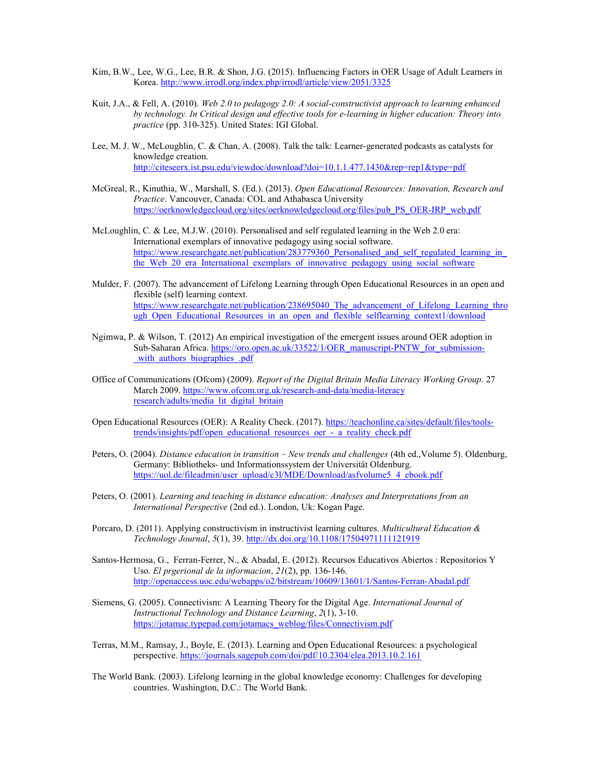- Kim, B.W., Lee, W.G., Lee, B.R. & Shon, J.G. (2015). Influencing Factors in OER Usage of Adult Learners in Korea. http://www.irrodl.org/index.php/irrodl/article/view/2051/3325
- Kuit, J.A., & Fell, A. (2010). Web 2.0 to pedagogy 2.0: A social-constructivist approach to learning enhanced by technology. In Critical design and effective tools for e-learning in higher education: Theory into practice (pp. 310-325). United States: IGI Global.
- Lee, M. J. W., McLoughlin, C. & Chan, A. (2008). Talk the talk: Learner-generated podcasts as catalysts for knowledge creation. http://citeseerx.ist.psu.edu/viewdoc/download?doi=10.1.1.477.1430&rep=rep1&type=pdf
- McGreal, R., Kinuthia, W., Marshall, S. (Ed.). (2013). Open Educational Resources: Innovation, Research and Practice. Vancouver, Canada: COL and Athabasca University https://oerknowledgecloud.org/sites/oerknowledgecloud.org/files/pub\_PS\_OER-IRP\_web.pdf
- McLoughlin, C. & Lee, M.J.W. (2010). Personalised and self regulated learning in the Web 2.0 era: International exemplars of innovative pedagogy using social software. https://www.researchgate.net/publication/283779360 Personalised and self regulated learning in the Web 20 era International exemplars of innovative pedagogy using social software
- Mulder, F. (2007). The advancement of Lifelong Learning through Open Educational Resources in an open and flexible (self) learning context. https://www.researchgate.net/publication/238695040 The advancement of Lifelong Learning thro ugh Open Educational Resources in an open and flexible selflearning context1/download
- Ngimwa, P. & Wilson, T. (2012) An empirical investigation of the emergent issues around OER adoption in Sub-Saharan Africa. https://oro.open.ac.uk/33522/1/OER\_manuscript-PNTW\_for\_submissionwith authors biographies .pdf
- Office of Communications (Ofcom) (2009). Report of the Digital Britain Media Literacy Working Group. 27 March 2009. https://www.ofcom.org.uk/research-and-data/media-literacy research/adults/media\_lit\_digital\_britain
- Open Educational Resources (OER): A Reality Check. (2017). https://teachonline.ca/sites/default/files/toolstrends/insights/pdf/open\_educational\_resources\_oer\_-\_a\_reality\_check.pdf
- Peters, O. (2004). *Distance education in transition New trends and challenges* (4th ed., Volume 5). Oldenburg, Germany: Bibliotheks- und Informationssystem der Universität Oldenburg. https://uol.de/fileadmin/user\_upload/c3l/MDE/Download/asfvolume5\_4\_ebook.pdf
- Peters, O. (2001). Learning and teaching in distance education: Analyses and Interpretations from an International Perspective (2nd ed.). London, Uk: Kogan Page.
- Porcaro, D. (2011). Applying constructivism in instructivist learning cultures. Multicultural Education & Technology Journal, 5(1), 39. http://dx.doi.org/10.1108/17504971111121919
- Santos-Hermosa, G., Ferran-Ferrer, N., & Abadal, E. (2012). Recursos Educativos Abiertos : Repositorios Y Uso. El prgerional de la informacion, 21(2), pp. 136-146. http://openaccess.uoc.edu/webapps/o2/bitstream/10609/13601/1/Santos-Ferran-Abadal.pdf
- Siemens, G. (2005). Connectivism: A Learning Theory for the Digital Age. International Journal of Instructional Technology and Distance Learning, 2(1), 3-10. https://jotamac.typepad.com/jotamacs\_weblog/files/Connectivism.pdf
- Terras, M.M., Ramsay, J., Boyle, E. (2013). Learning and Open Educational Resources: a psychological perspective. https://journals.sagepub.com/doi/pdf/10.2304/elea.2013.10.2.161
- The World Bank. (2003). Lifelong learning in the global knowledge economy: Challenges for developing countries. Washington, D.C.: The World Bank.